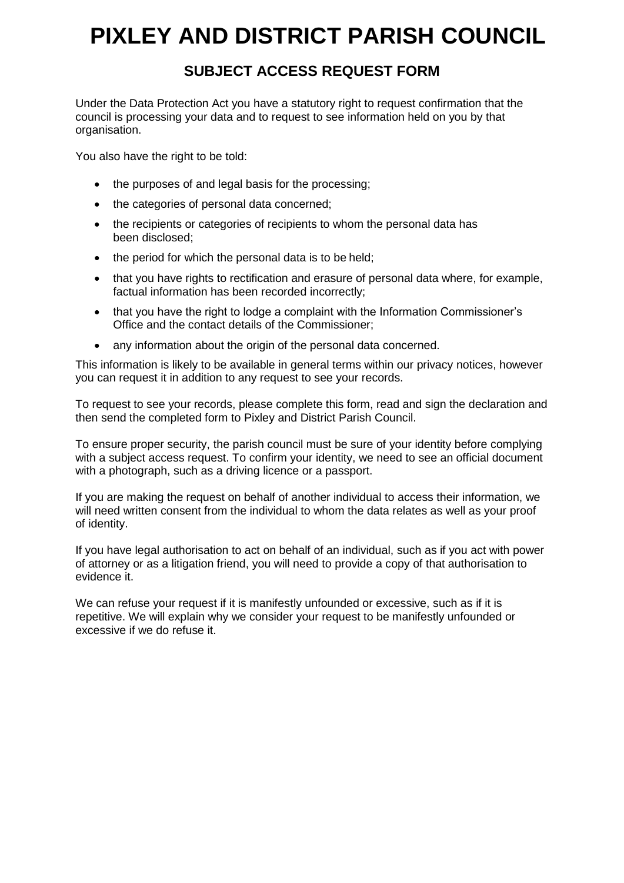# **PIXLEY AND DISTRICT PARISH COUNCIL**

## **SUBJECT ACCESS REQUEST FORM**

Under the Data Protection Act you have a statutory right to request confirmation that the council is processing your data and to request to see information held on you by that organisation.

You also have the right to be told:

- the purposes of and legal basis for the processing;
- the categories of personal data concerned;
- the recipients or categories of recipients to whom the personal data has been disclosed;
- the period for which the personal data is to be held;
- that you have rights to rectification and erasure of personal data where, for example, factual information has been recorded incorrectly;
- that you have the right to lodge a complaint with the Information Commissioner's Office and the contact details of the Commissioner;
- any information about the origin of the personal data concerned.

This information is likely to be available in general terms within our privacy notices, however you can request it in addition to any request to see your records.

To request to see your records, please complete this form, read and sign the declaration and then send the completed form to Pixley and District Parish Council.

To ensure proper security, the parish council must be sure of your identity before complying with a subject access request. To confirm your identity, we need to see an official document with a photograph, such as a driving licence or a passport.

If you are making the request on behalf of another individual to access their information, we will need written consent from the individual to whom the data relates as well as your proof of identity.

If you have legal authorisation to act on behalf of an individual, such as if you act with power of attorney or as a litigation friend, you will need to provide a copy of that authorisation to evidence it.

We can refuse your request if it is manifestly unfounded or excessive, such as if it is repetitive. We will explain why we consider your request to be manifestly unfounded or excessive if we do refuse it.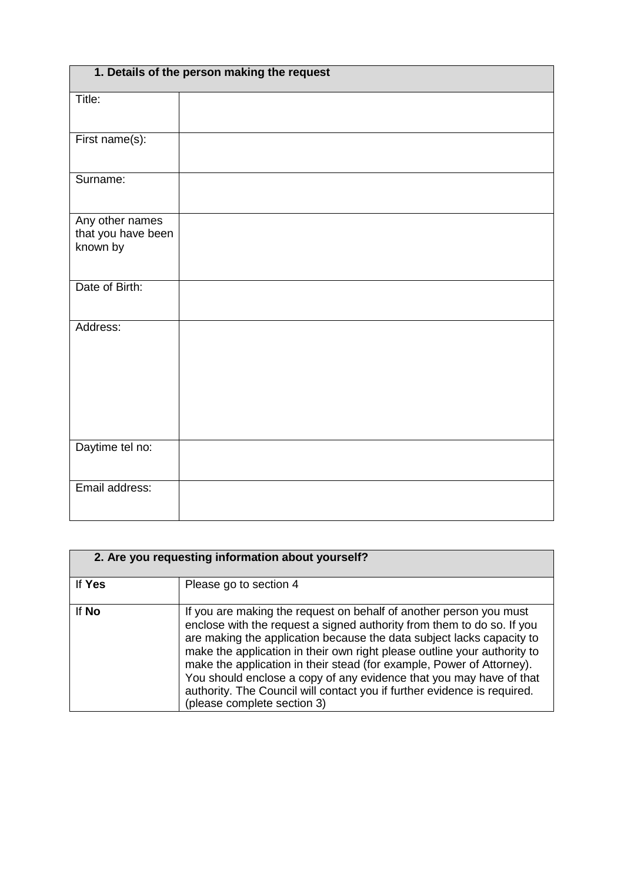| 1. Details of the person making the request       |  |  |
|---------------------------------------------------|--|--|
| Title:                                            |  |  |
| First name(s):                                    |  |  |
| Surname:                                          |  |  |
| Any other names<br>that you have been<br>known by |  |  |
| Date of Birth:                                    |  |  |
| Address:                                          |  |  |
| Daytime tel no:                                   |  |  |
| Email address:                                    |  |  |

| 2. Are you requesting information about yourself? |                                                                                                                                                                                                                                                                                                                                                                                                                                                                                                                                                              |  |
|---------------------------------------------------|--------------------------------------------------------------------------------------------------------------------------------------------------------------------------------------------------------------------------------------------------------------------------------------------------------------------------------------------------------------------------------------------------------------------------------------------------------------------------------------------------------------------------------------------------------------|--|
| If Yes                                            | Please go to section 4                                                                                                                                                                                                                                                                                                                                                                                                                                                                                                                                       |  |
| If No                                             | If you are making the request on behalf of another person you must<br>enclose with the request a signed authority from them to do so. If you<br>are making the application because the data subject lacks capacity to<br>make the application in their own right please outline your authority to<br>make the application in their stead (for example, Power of Attorney).<br>You should enclose a copy of any evidence that you may have of that<br>authority. The Council will contact you if further evidence is required.<br>(please complete section 3) |  |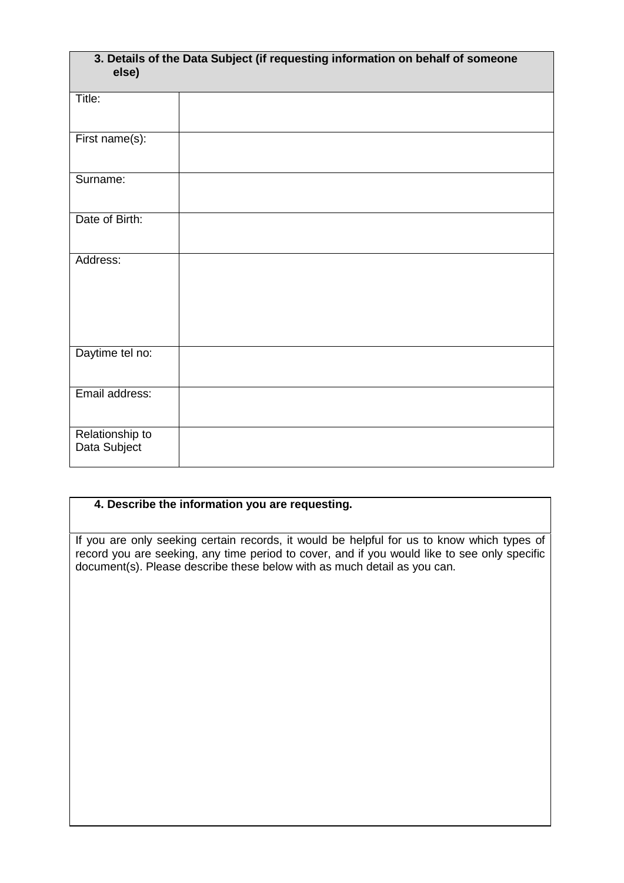| 3. Details of the Data Subject (if requesting information on behalf of someone<br>else) |  |  |
|-----------------------------------------------------------------------------------------|--|--|
| Title:                                                                                  |  |  |
| First name $(s)$ :                                                                      |  |  |
| Surname:                                                                                |  |  |
| Date of Birth:                                                                          |  |  |
| Address:                                                                                |  |  |
| Daytime tel no:                                                                         |  |  |
| Email address:                                                                          |  |  |
| Relationship to<br>Data Subject                                                         |  |  |

### **4. Describe the information you are requesting.**

If you are only seeking certain records, it would be helpful for us to know which types of record you are seeking, any time period to cover, and if you would like to see only specific document(s). Please describe these below with as much detail as you can.